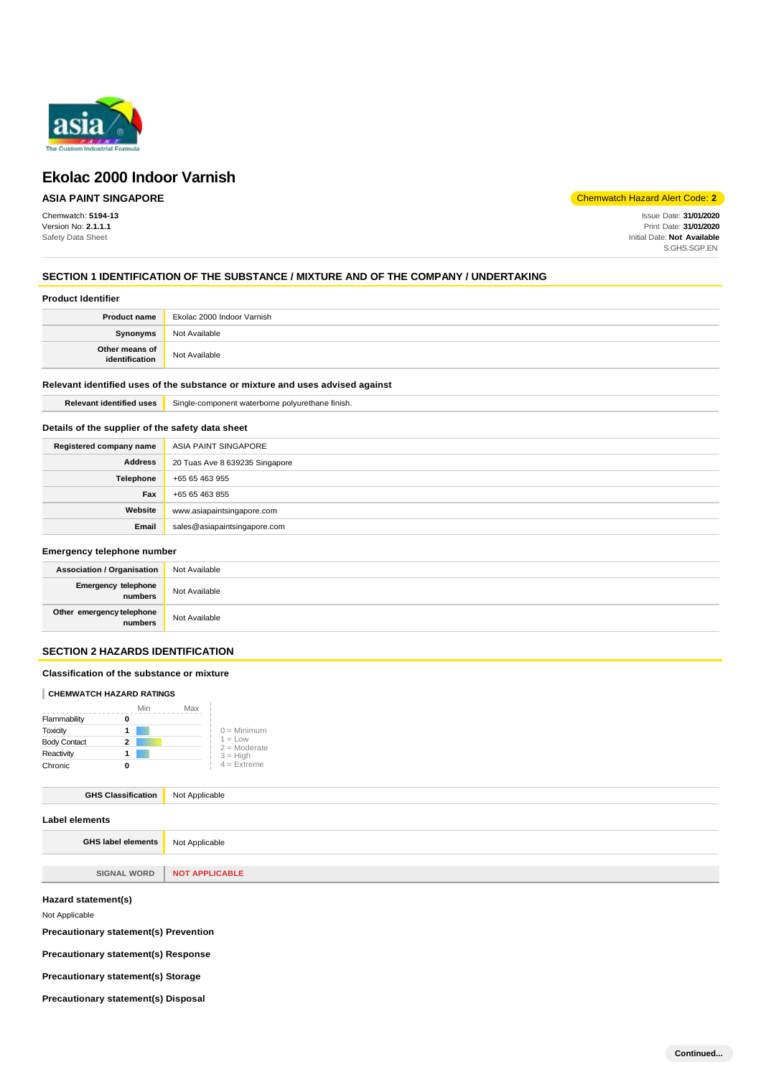

# **ASIA PAINT SINGAPORE**

Chemwatch: **5194-13** Version No: **2.1.1.1** Safety Data Sheet

Chemwatch Hazard Alert Code: **2**

Issue Date: **31/01/2020** Print Date: **31/01/2020** Initial Date: **Not Available** S.GHS.SGP.EN

# **SECTION 1 IDENTIFICATION OF THE SUBSTANCE / MIXTURE AND OF THE COMPANY / UNDERTAKING**

### **Product Identifier**

| <b>Product name</b>              | Ekolac 2000 Indoor Varnish |
|----------------------------------|----------------------------|
| Synonyms                         | Not Available              |
| Other means of<br>identification | Not Available              |

### **Relevant identified uses of the substance or mixture and uses advised against**

**Relevant identified uses** Single-component waterborne polyurethane finish.

## **Details of the supplier of the safety data sheet**

| Registered company name | ASIA PAINT SINGAPORE           |
|-------------------------|--------------------------------|
| <b>Address</b>          | 20 Tuas Ave 8 639235 Singapore |
| Telephone               | +65 65 463 955                 |
| Fax                     | +65 65 463 855                 |
| Website                 | www.asiapaintsingapore.com     |
| Email                   | sales@asiapaintsingapore.com   |

# **Emergency telephone number**

| <b>Association / Organisation</b>            | Not Available |
|----------------------------------------------|---------------|
| <b>Emergency telephone</b><br><b>numbers</b> | Not Available |
| Other emergency telephone<br>numbers         | Not Available |

# **SECTION 2 HAZARDS IDENTIFICATION**

### **Classification of the substance or mixture**

### **CHEMWATCH HAZARD RATINGS**

|                     | Min | Max |                             |
|---------------------|-----|-----|-----------------------------|
| Flammability        |     |     |                             |
| Toxicity            |     |     | $0 =$ Minimum               |
| <b>Body Contact</b> | 2   |     | $1 = Low$<br>$2 =$ Moderate |
| Reactivity          |     |     | $3 = High$                  |
| Chronic             |     |     | $4$ = Extreme               |

# **GHS Classification** Not Applicable

| Label elements      |                       |
|---------------------|-----------------------|
| GHS label elements  | Not Applicable        |
|                     |                       |
| <b>SIGNAL WORD</b>  | <b>NOT APPLICABLE</b> |
| Hazard statement(s) |                       |

Not Applicable

**Precautionary statement(s) Prevention** 

**Precautionary statement(s) Response** 

**Precautionary statement(s) Storage** 

**Precautionary statement(s) Disposal**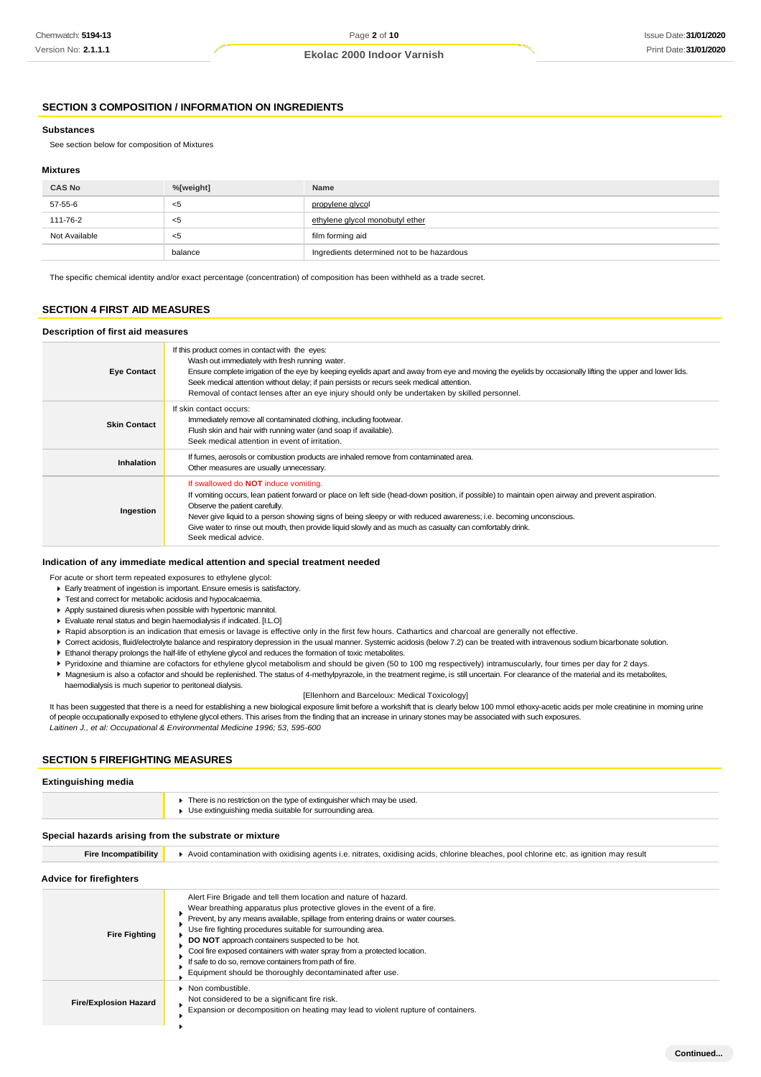# **SECTION 3 COMPOSITION / INFORMATION ON INGREDIENTS**

#### **Substances**

See section below for composition of Mixtures

#### **Mixtures**

| <b>CAS No</b> | %[weight] | Name                                       |
|---------------|-----------|--------------------------------------------|
| 57-55-6       | <5        | propylene glycol                           |
| 111-76-2      | - 35      | ethylene glycol monobutyl ether            |
| Not Available | <5        | film forming aid                           |
|               | balance   | Ingredients determined not to be hazardous |

The specific chemical identity and/or exact percentage (concentration) of composition has been withheld as a trade secret.

#### **SECTION 4 FIRST AID MEASURES**

#### **Description of first aid measures**

| <b>Eye Contact</b>  | If this product comes in contact with the eyes:<br>Wash out immediately with fresh running water.<br>Ensure complete irrigation of the eye by keeping eyelids apart and away from eye and moving the eyelids by occasionally lifting the upper and lower lids.<br>Seek medical attention without delay; if pain persists or recurs seek medical attention.<br>Removal of contact lenses after an eye injury should only be undertaken by skilled personnel.                                |
|---------------------|--------------------------------------------------------------------------------------------------------------------------------------------------------------------------------------------------------------------------------------------------------------------------------------------------------------------------------------------------------------------------------------------------------------------------------------------------------------------------------------------|
| <b>Skin Contact</b> | If skin contact occurs:<br>Immediately remove all contaminated clothing, including footwear.<br>Flush skin and hair with running water (and soap if available).<br>Seek medical attention in event of irritation.                                                                                                                                                                                                                                                                          |
| Inhalation          | If fumes, aerosols or combustion products are inhaled remove from contaminated area.<br>Other measures are usually unnecessary.                                                                                                                                                                                                                                                                                                                                                            |
| Ingestion           | If swallowed do <b>NOT</b> induce vomiting.<br>If vomiting occurs, lean patient forward or place on left side (head-down position, if possible) to maintain open airway and prevent aspiration.<br>Observe the patient carefully.<br>Never give liquid to a person showing signs of being sleepy or with reduced awareness; i.e. becoming unconscious.<br>Give water to rinse out mouth, then provide liquid slowly and as much as casualty can comfortably drink.<br>Seek medical advice. |

#### **Indication of any immediate medical attention and special treatment needed**

For acute or short term repeated exposures to ethylene glycol:

- Early treatment of ingestion is important. Ensure emesis is satisfactory.
- Test and correct for metabolic acidosis and hypocalcaemia.
- Apply sustained diuresis when possible with hypertonic mannitol.
- Evaluate renal status and begin haemodialysis if indicated. [I.L.O]
- Rapid absorption is an indication that emesis or lavage is effective only in the first few hours. Cathartics and charcoal are generally not effective.
- ▶ Correct acidosis, fluid/electrolyte balance and respiratory depression in the usual manner. Systemic acidosis (below 7.2) can be treated with intravenous sodium bicarbonate solution. Ethanol therapy prolongs the half-life of ethylene glycol and reduces the formation of toxic metabolites.
- 
- Pyridoxine and thiamine are cofactors for ethylene glycol metabolism and should be given (50 to 100 mg respectively) intramuscularly, four times per day for 2 days. Magnesium is also a cofactor and should be replenished. The status of 4-methylpyrazole, in the treatment regime, is still uncertain. For clearance of the material and its metabolites,
	- haemodialysis is much superior to peritoneal dialysis.

#### [Ellenhorn and Barceloux: Medical Toxicology]

It has been suggested that there is a need for establishing a new biological exposure limit before a workshift that is clearly below 100 mmol ethoxy-acetic acids per mole creatinine in morning urine of people occupationally exposed to ethylene glycol ethers. This arises from the finding that an increase in urinary stones may be associated with such exposures. *Laitinen J., et al: Occupational & Environmental Medicine 1996; 53, 595-600*

### **SECTION 5 FIREFIGHTING MEASURES**

#### **Extinguishing media**

| There is no restriction on the type of extinguisher which may be used. |
|------------------------------------------------------------------------|
| Use extinguishing media suitable for surrounding area.                 |

# **Special hazards arising from the substrate or mixture**

| opecial hazards arising from the substrate of mixture |                                                                                                                                                                                                                                                                                                                                                                                                                                                                                                                                                           |  |
|-------------------------------------------------------|-----------------------------------------------------------------------------------------------------------------------------------------------------------------------------------------------------------------------------------------------------------------------------------------------------------------------------------------------------------------------------------------------------------------------------------------------------------------------------------------------------------------------------------------------------------|--|
| <b>Fire Incompatibility</b>                           | Avoid contamination with oxidising agents i.e. nitrates, oxidising acids, chlorine bleaches, pool chlorine etc. as ignition may result                                                                                                                                                                                                                                                                                                                                                                                                                    |  |
| Advice for firefighters                               |                                                                                                                                                                                                                                                                                                                                                                                                                                                                                                                                                           |  |
| <b>Fire Fighting</b>                                  | Alert Fire Brigade and tell them location and nature of hazard.<br>Wear breathing apparatus plus protective gloves in the event of a fire.<br>Prevent, by any means available, spillage from entering drains or water courses.<br>Use fire fighting procedures suitable for surrounding area.<br><b>DO NOT</b> approach containers suspected to be hot.<br>Cool fire exposed containers with water spray from a protected location.<br>If safe to do so, remove containers from path of fire.<br>Equipment should be thoroughly decontaminated after use. |  |
| <b>Fire/Explosion Hazard</b>                          | • Non combustible.<br>Not considered to be a significant fire risk.<br>Expansion or decomposition on heating may lead to violent rupture of containers.                                                                                                                                                                                                                                                                                                                                                                                                   |  |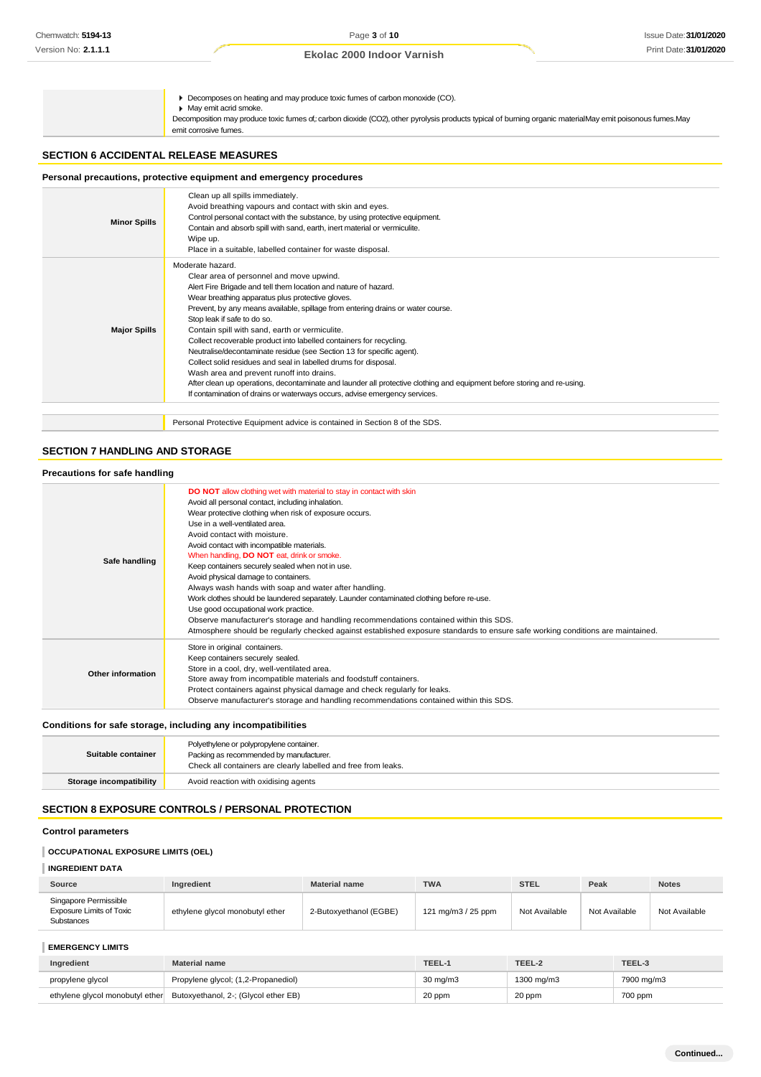Decomposes on heating and may produce toxic fumes of carbon monoxide (CO).

May emit acrid smoke.

Decomposition may produce toxic fumes of,: carbon dioxide (CO2), other pyrolysis products typical of burning organic materialMay emit poisonous fumes.May emit corrosive fumes.

## **SECTION 6 ACCIDENTAL RELEASE MEASURES**

# **Personal precautions, protective equipment and emergency procedures**

| <b>Minor Spills</b> | Clean up all spills immediately.<br>Avoid breathing vapours and contact with skin and eyes.<br>Control personal contact with the substance, by using protective equipment.<br>Contain and absorb spill with sand, earth, inert material or vermiculite.<br>Wipe up.<br>Place in a suitable, labelled container for waste disposal.                                                                                                                                                                                                                                                                                                                                                                                                                                                                                               |
|---------------------|----------------------------------------------------------------------------------------------------------------------------------------------------------------------------------------------------------------------------------------------------------------------------------------------------------------------------------------------------------------------------------------------------------------------------------------------------------------------------------------------------------------------------------------------------------------------------------------------------------------------------------------------------------------------------------------------------------------------------------------------------------------------------------------------------------------------------------|
| <b>Major Spills</b> | Moderate hazard.<br>Clear area of personnel and move upwind.<br>Alert Fire Brigade and tell them location and nature of hazard.<br>Wear breathing apparatus plus protective gloves.<br>Prevent, by any means available, spillage from entering drains or water course.<br>Stop leak if safe to do so.<br>Contain spill with sand, earth or vermiculite.<br>Collect recoverable product into labelled containers for recycling.<br>Neutralise/decontaminate residue (see Section 13 for specific agent).<br>Collect solid residues and seal in labelled drums for disposal.<br>Wash area and prevent runoff into drains.<br>After clean up operations, decontaminate and launder all protective clothing and equipment before storing and re-using.<br>If contamination of drains or waterways occurs, advise emergency services. |
|                     | Personal Protective Equipment advice is contained in Section 8 of the SDS.                                                                                                                                                                                                                                                                                                                                                                                                                                                                                                                                                                                                                                                                                                                                                       |

# **SECTION 7 HANDLING AND STORAGE**

| Precautions for safe handling |                                                                                                                                                                                                                                                                                                                                                                                                                                                                                                                                                                                                                                                                                                                                                                                                                                                                                        |
|-------------------------------|----------------------------------------------------------------------------------------------------------------------------------------------------------------------------------------------------------------------------------------------------------------------------------------------------------------------------------------------------------------------------------------------------------------------------------------------------------------------------------------------------------------------------------------------------------------------------------------------------------------------------------------------------------------------------------------------------------------------------------------------------------------------------------------------------------------------------------------------------------------------------------------|
| Safe handling                 | <b>DO NOT</b> allow clothing wet with material to stay in contact with skin<br>Avoid all personal contact, including inhalation.<br>Wear protective clothing when risk of exposure occurs.<br>Use in a well-ventilated area.<br>Avoid contact with moisture.<br>Avoid contact with incompatible materials.<br>When handling, <b>DO NOT</b> eat, drink or smoke.<br>Keep containers securely sealed when not in use.<br>Avoid physical damage to containers.<br>Always wash hands with soap and water after handling.<br>Work clothes should be laundered separately. Launder contaminated clothing before re-use.<br>Use good occupational work practice.<br>Observe manufacturer's storage and handling recommendations contained within this SDS.<br>Atmosphere should be regularly checked against established exposure standards to ensure safe working conditions are maintained. |
| Other information             | Store in original containers.<br>Keep containers securely sealed.<br>Store in a cool, dry, well-ventilated area.<br>Store away from incompatible materials and foodstuff containers.<br>Protect containers against physical damage and check regularly for leaks.<br>Observe manufacturer's storage and handling recommendations contained within this SDS.                                                                                                                                                                                                                                                                                                                                                                                                                                                                                                                            |

### **Conditions for safe storage, including any incompatibilities**

| Suitable container      | Polyethylene or polypropylene container.<br>Packing as recommended by manufacturer.<br>Check all containers are clearly labelled and free from leaks. |
|-------------------------|-------------------------------------------------------------------------------------------------------------------------------------------------------|
| Storage incompatibility | Avoid reaction with oxidising agents                                                                                                                  |

# **SECTION 8 EXPOSURE CONTROLS / PERSONAL PROTECTION**

### **Control parameters**

# **OCCUPATIONAL EXPOSURE LIMITS (OEL)**

| Source                                                          | Ingredient                      | <b>Material name</b>   | <b>TWA</b>         | <b>STEL</b>   | Peak          | <b>Notes</b>  |
|-----------------------------------------------------------------|---------------------------------|------------------------|--------------------|---------------|---------------|---------------|
| Singapore Permissible<br>Exposure Limits of Toxic<br>Substances | ethylene glycol monobutyl ether | 2-Butoxyethanol (EGBE) | 121 mg/m3 / 25 ppm | Not Available | Not Available | Not Available |

# **EMERGENCY LIMITS**

| Ingredient       | Material name                                                        | TEEL-1            | TEEL-2     | TEEL-3     |
|------------------|----------------------------------------------------------------------|-------------------|------------|------------|
| propylene glycol | Propylene glycol; (1,2-Propanediol)                                  | $30 \text{ ma/m}$ | 1300 mg/m3 | 7900 mg/m3 |
|                  | ethylene glycol monobutyl ether Butoxyethanol, 2-; (Glycol ether EB) | 20 ppm            | 20 ppm     | 700 ppm    |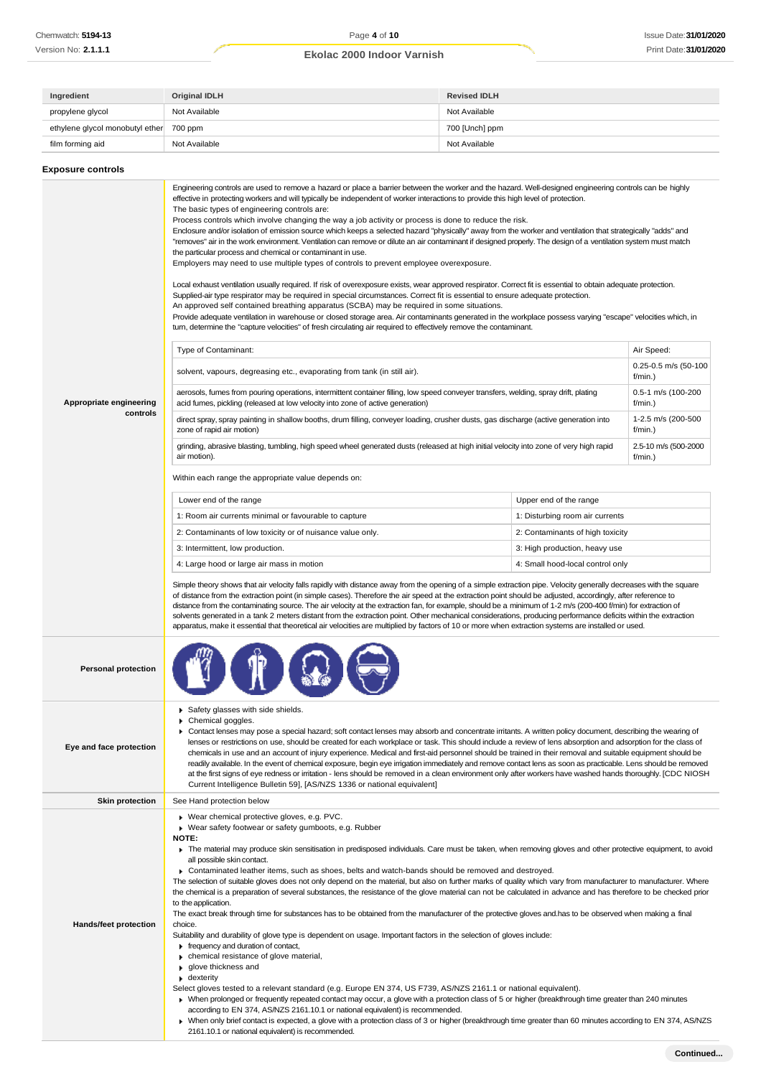| Ingredient                              | Original IDLH | <b>Revised IDLH</b> |
|-----------------------------------------|---------------|---------------------|
| propylene glycol                        | Not Available | Not Available       |
| ethylene glycol monobutyl ether 700 ppm |               | 700 [Unch] ppm      |
| film forming aid                        | Not Available | Not Available       |

| <b>Exposure controls</b>            |                                                                                                                                                                                                                                                                                                                                                                                                                                                                                                                                                                                                                                                                                                                                                                                                                                                                                                                                                                                                                                                                                                                                                                                                                                                                                                                                                                                                                                                                                                                                                                                                                                                                                                                                                                                                                                                                                                                                                                                                                                                                                                                                                                                                                                                                                                                                                          |                                  |                                                                                                                                                    |  |
|-------------------------------------|----------------------------------------------------------------------------------------------------------------------------------------------------------------------------------------------------------------------------------------------------------------------------------------------------------------------------------------------------------------------------------------------------------------------------------------------------------------------------------------------------------------------------------------------------------------------------------------------------------------------------------------------------------------------------------------------------------------------------------------------------------------------------------------------------------------------------------------------------------------------------------------------------------------------------------------------------------------------------------------------------------------------------------------------------------------------------------------------------------------------------------------------------------------------------------------------------------------------------------------------------------------------------------------------------------------------------------------------------------------------------------------------------------------------------------------------------------------------------------------------------------------------------------------------------------------------------------------------------------------------------------------------------------------------------------------------------------------------------------------------------------------------------------------------------------------------------------------------------------------------------------------------------------------------------------------------------------------------------------------------------------------------------------------------------------------------------------------------------------------------------------------------------------------------------------------------------------------------------------------------------------------------------------------------------------------------------------------------------------|----------------------------------|----------------------------------------------------------------------------------------------------------------------------------------------------|--|
| Appropriate engineering<br>controls | Engineering controls are used to remove a hazard or place a barrier between the worker and the hazard. Well-designed engineering controls can be highly<br>effective in protecting workers and will typically be independent of worker interactions to provide this high level of protection.<br>The basic types of engineering controls are:<br>Process controls which involve changing the way a job activity or process is done to reduce the risk.<br>Enclosure and/or isolation of emission source which keeps a selected hazard "physically" away from the worker and ventilation that strategically "adds" and<br>"removes" air in the work environment. Ventilation can remove or dilute an air contaminant if designed properly. The design of a ventilation system must match<br>the particular process and chemical or contaminant in use.<br>Employers may need to use multiple types of controls to prevent employee overexposure.<br>Local exhaust ventilation usually required. If risk of overexposure exists, wear approved respirator. Correct fit is essential to obtain adequate protection.<br>Supplied-air type respirator may be required in special circumstances. Correct fit is essential to ensure adequate protection.<br>An approved self contained breathing apparatus (SCBA) may be required in some situations.<br>Provide adequate ventilation in warehouse or closed storage area. Air contaminants generated in the workplace possess varying "escape" velocities which, in<br>turn, determine the "capture velocities" of fresh circulating air required to effectively remove the contaminant.<br>Type of Contaminant:<br>solvent, vapours, degreasing etc., evaporating from tank (in still air).<br>aerosols, fumes from pouring operations, intermittent container filling, low speed conveyer transfers, welding, spray drift, plating<br>acid fumes, pickling (released at low velocity into zone of active generation)<br>direct spray, spray painting in shallow booths, drum filling, conveyer loading, crusher dusts, gas discharge (active generation into<br>zone of rapid air motion)<br>grinding, abrasive blasting, tumbling, high speed wheel generated dusts (released at high initial velocity into zone of very high rapid<br>air motion).<br>Within each range the appropriate value depends on: |                                  | Air Speed:<br>0.25-0.5 m/s (50-100<br>f/min.)<br>0.5-1 m/s (100-200<br>f/min.)<br>1-2.5 m/s (200-500<br>f/min.)<br>2.5-10 m/s (500-2000<br>f/min.) |  |
|                                     | Lower end of the range                                                                                                                                                                                                                                                                                                                                                                                                                                                                                                                                                                                                                                                                                                                                                                                                                                                                                                                                                                                                                                                                                                                                                                                                                                                                                                                                                                                                                                                                                                                                                                                                                                                                                                                                                                                                                                                                                                                                                                                                                                                                                                                                                                                                                                                                                                                                   | Upper end of the range           |                                                                                                                                                    |  |
|                                     | 1: Room air currents minimal or favourable to capture                                                                                                                                                                                                                                                                                                                                                                                                                                                                                                                                                                                                                                                                                                                                                                                                                                                                                                                                                                                                                                                                                                                                                                                                                                                                                                                                                                                                                                                                                                                                                                                                                                                                                                                                                                                                                                                                                                                                                                                                                                                                                                                                                                                                                                                                                                    | 1: Disturbing room air currents  |                                                                                                                                                    |  |
|                                     |                                                                                                                                                                                                                                                                                                                                                                                                                                                                                                                                                                                                                                                                                                                                                                                                                                                                                                                                                                                                                                                                                                                                                                                                                                                                                                                                                                                                                                                                                                                                                                                                                                                                                                                                                                                                                                                                                                                                                                                                                                                                                                                                                                                                                                                                                                                                                          | 2: Contaminants of high toxicity |                                                                                                                                                    |  |
|                                     | 2: Contaminants of low toxicity or of nuisance value only.                                                                                                                                                                                                                                                                                                                                                                                                                                                                                                                                                                                                                                                                                                                                                                                                                                                                                                                                                                                                                                                                                                                                                                                                                                                                                                                                                                                                                                                                                                                                                                                                                                                                                                                                                                                                                                                                                                                                                                                                                                                                                                                                                                                                                                                                                               |                                  |                                                                                                                                                    |  |
|                                     | 3: Intermittent, low production.                                                                                                                                                                                                                                                                                                                                                                                                                                                                                                                                                                                                                                                                                                                                                                                                                                                                                                                                                                                                                                                                                                                                                                                                                                                                                                                                                                                                                                                                                                                                                                                                                                                                                                                                                                                                                                                                                                                                                                                                                                                                                                                                                                                                                                                                                                                         | 3: High production, heavy use    |                                                                                                                                                    |  |
|                                     | 4: Large hood or large air mass in motion<br>4: Small hood-local control only                                                                                                                                                                                                                                                                                                                                                                                                                                                                                                                                                                                                                                                                                                                                                                                                                                                                                                                                                                                                                                                                                                                                                                                                                                                                                                                                                                                                                                                                                                                                                                                                                                                                                                                                                                                                                                                                                                                                                                                                                                                                                                                                                                                                                                                                            |                                  |                                                                                                                                                    |  |
|                                     | Simple theory shows that air velocity falls rapidly with distance away from the opening of a simple extraction pipe. Velocity generally decreases with the square<br>of distance from the extraction point (in simple cases). Therefore the air speed at the extraction point should be adjusted, accordingly, after reference to<br>distance from the contaminating source. The air velocity at the extraction fan, for example, should be a minimum of 1-2 m/s (200-400 f/min) for extraction of<br>solvents generated in a tank 2 meters distant from the extraction point. Other mechanical considerations, producing performance deficits within the extraction<br>apparatus, make it essential that theoretical air velocities are multiplied by factors of 10 or more when extraction systems are installed or used.                                                                                                                                                                                                                                                                                                                                                                                                                                                                                                                                                                                                                                                                                                                                                                                                                                                                                                                                                                                                                                                                                                                                                                                                                                                                                                                                                                                                                                                                                                                              |                                  |                                                                                                                                                    |  |
| <b>Personal protection</b>          |                                                                                                                                                                                                                                                                                                                                                                                                                                                                                                                                                                                                                                                                                                                                                                                                                                                                                                                                                                                                                                                                                                                                                                                                                                                                                                                                                                                                                                                                                                                                                                                                                                                                                                                                                                                                                                                                                                                                                                                                                                                                                                                                                                                                                                                                                                                                                          |                                  |                                                                                                                                                    |  |
| Eye and face protection             | Safety glasses with side shields.<br>• Chemical goggles.<br>Contact lenses may pose a special hazard; soft contact lenses may absorb and concentrate irritants. A written policy document, describing the wearing of<br>lenses or restrictions on use, should be created for each workplace or task. This should include a review of lens absorption and adsorption for the class of<br>chemicals in use and an account of injury experience. Medical and first-aid personnel should be trained in their removal and suitable equipment should be<br>readily available. In the event of chemical exposure, begin eye irrigation immediately and remove contact lens as soon as practicable. Lens should be removed<br>at the first signs of eye redness or irritation - lens should be removed in a clean environment only after workers have washed hands thoroughly. [CDC NIOSH<br>Current Intelligence Bulletin 59], [AS/NZS 1336 or national equivalent]                                                                                                                                                                                                                                                                                                                                                                                                                                                                                                                                                                                                                                                                                                                                                                                                                                                                                                                                                                                                                                                                                                                                                                                                                                                                                                                                                                                             |                                  |                                                                                                                                                    |  |
| <b>Skin protection</b>              | See Hand protection below                                                                                                                                                                                                                                                                                                                                                                                                                                                                                                                                                                                                                                                                                                                                                                                                                                                                                                                                                                                                                                                                                                                                                                                                                                                                                                                                                                                                                                                                                                                                                                                                                                                                                                                                                                                                                                                                                                                                                                                                                                                                                                                                                                                                                                                                                                                                |                                  |                                                                                                                                                    |  |
| <b>Hands/feet protection</b>        | ▶ Wear chemical protective gloves, e.g. PVC.<br>• Wear safety footwear or safety gumboots, e.g. Rubber<br>NOTE:<br>The material may produce skin sensitisation in predisposed individuals. Care must be taken, when removing gloves and other protective equipment, to avoid<br>all possible skin contact.<br>▶ Contaminated leather items, such as shoes, belts and watch-bands should be removed and destroyed.<br>The selection of suitable gloves does not only depend on the material, but also on further marks of quality which vary from manufacturer to manufacturer. Where<br>the chemical is a preparation of several substances, the resistance of the glove material can not be calculated in advance and has therefore to be checked prior<br>to the application.<br>The exact break through time for substances has to be obtained from the manufacturer of the protective gloves and has to be observed when making a final<br>choice.<br>Suitability and durability of glove type is dependent on usage. Important factors in the selection of gloves include:<br>Frequency and duration of contact,<br>• chemical resistance of glove material,<br>▶ glove thickness and<br>$\bullet$ dexterity<br>Select gloves tested to a relevant standard (e.g. Europe EN 374, US F739, AS/NZS 2161.1 or national equivalent).<br>▶ When prolonged or frequently repeated contact may occur, a glove with a protection class of 5 or higher (breakthrough time greater than 240 minutes<br>according to EN 374, AS/NZS 2161.10.1 or national equivalent) is recommended.<br>> When only brief contact is expected, a glove with a protection class of 3 or higher (breakthrough time greater than 60 minutes according to EN 374, AS/NZS<br>2161.10.1 or national equivalent) is recommended.                                                                                                                                                                                                                                                                                                                                                                                                                                                                                                                                                     |                                  |                                                                                                                                                    |  |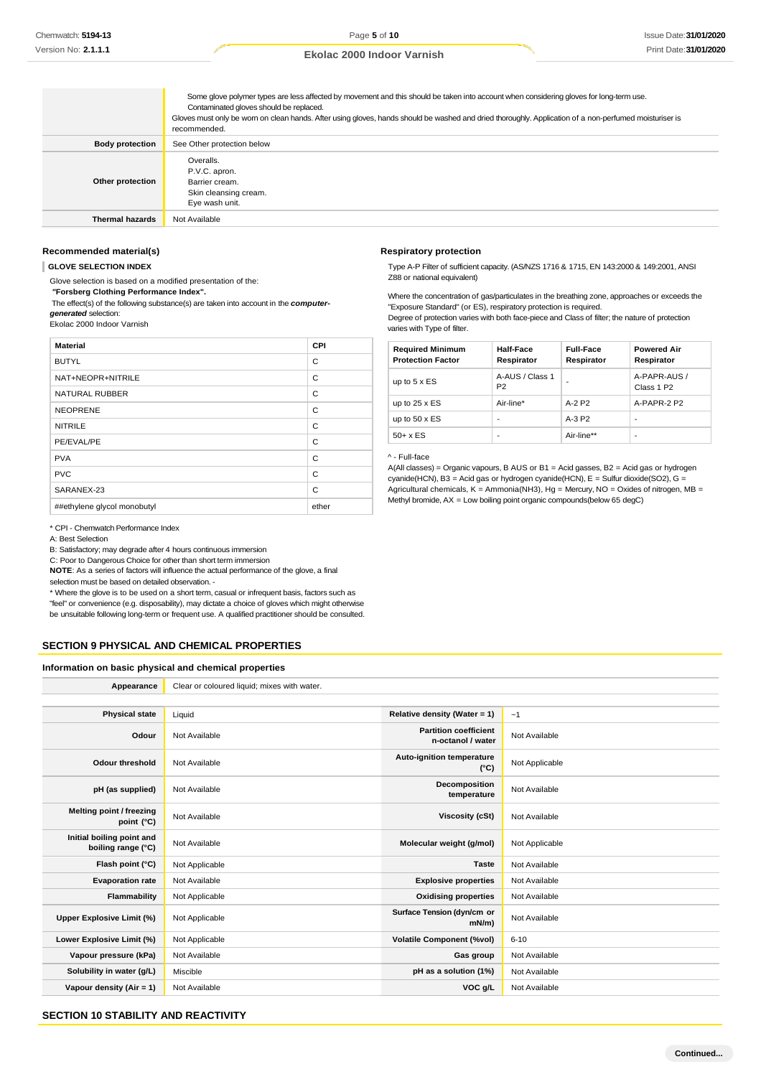|                        | Some glove polymer types are less affected by movement and this should be taken into account when considering gloves for long-term use.<br>Contaminated gloves should be replaced.<br>Gloves must only be wom on clean hands. After using gloves, hands should be washed and dried thoroughly. Application of a non-perfumed moisturiser is<br>recommended. |
|------------------------|-------------------------------------------------------------------------------------------------------------------------------------------------------------------------------------------------------------------------------------------------------------------------------------------------------------------------------------------------------------|
| <b>Body protection</b> | See Other protection below                                                                                                                                                                                                                                                                                                                                  |
| Other protection       | Overalls.<br>P.V.C. apron.<br>Barrier cream.<br>Skin cleansing cream.<br>Eye wash unit.                                                                                                                                                                                                                                                                     |
| <b>Thermal hazards</b> | Not Available                                                                                                                                                                                                                                                                                                                                               |

### **Recommended material(s)**

**GLOVE SELECTION INDEX**

Glove selection is based on a modified presentation of the:

*"***Forsberg Clothing Performance Index".**

The effect(s) of the following substance(s) are taken into account in the *computergenerated* selection:

Ekolac 2000 Indoor Varnish

| <b>Material</b>             | <b>CPI</b> |
|-----------------------------|------------|
| <b>BUTYL</b>                | C          |
| NAT+NEOPR+NITRILE           | C          |
| <b>NATURAL RUBBER</b>       | C          |
| <b>NEOPRENE</b>             | C          |
| <b>NITRILE</b>              | C          |
| PE/EVAL/PE                  | C          |
| <b>PVA</b>                  | C          |
| <b>PVC</b>                  | C          |
| SARANEX-23                  | C          |
| ##ethylene glycol monobutyl | ether      |

#### \* CPI - Chemwatch Performance Index

A: Best Selection

B: Satisfactory; may degrade after 4 hours continuous immersion

C: Poor to Dangerous Choice for other than short term immersion

**NOTE**: As a series of factors will influence the actual performance of the glove, a final

selection must be based on detailed observation. -

\* Where the glove is to be used on a short term, casual or infrequent basis, factors such as "feel" or convenience (e.g. disposability), may dictate a choice of gloves which might otherwise be unsuitable following long-term or frequent use. A qualified practitioner should be consulted.

### **SECTION 9 PHYSICAL AND CHEMICAL PROPERTIES**

**Information on basic physical and chemical properties**

| Appearance                                      | Clear or coloured liquid; mixes with water. |                                                   |                |
|-------------------------------------------------|---------------------------------------------|---------------------------------------------------|----------------|
|                                                 |                                             |                                                   |                |
| <b>Physical state</b>                           | Liquid                                      | Relative density (Water = 1)                      | ~1             |
| Odour                                           | Not Available                               | <b>Partition coefficient</b><br>n-octanol / water | Not Available  |
| <b>Odour threshold</b>                          | Not Available                               | Auto-ignition temperature<br>$(^{\circ}C)$        | Not Applicable |
| pH (as supplied)                                | Not Available                               | Decomposition<br>temperature                      | Not Available  |
| Melting point / freezing<br>point (°C)          | Not Available                               | <b>Viscosity (cSt)</b>                            | Not Available  |
| Initial boiling point and<br>boiling range (°C) | Not Available                               | Molecular weight (g/mol)                          | Not Applicable |
| Flash point (°C)                                | Not Applicable                              | <b>Taste</b>                                      | Not Available  |
| <b>Evaporation rate</b>                         | Not Available                               | <b>Explosive properties</b>                       | Not Available  |
| Flammability                                    | Not Applicable                              | <b>Oxidising properties</b>                       | Not Available  |
| Upper Explosive Limit (%)                       | Not Applicable                              | Surface Tension (dyn/cm or<br>$mN/m$ )            | Not Available  |
| Lower Explosive Limit (%)                       | Not Applicable                              | <b>Volatile Component (%vol)</b>                  | $6 - 10$       |
| Vapour pressure (kPa)                           | Not Available                               | Gas group                                         | Not Available  |
| Solubility in water (g/L)                       | Miscible                                    | pH as a solution (1%)                             | Not Available  |
| Vapour density (Air = 1)                        | Not Available                               | VOC g/L                                           | Not Available  |

### **SECTION 10 STABILITY AND REACTIVITY**

#### **Respiratory protection**

Type A-P Filter of sufficient capacity. (AS/NZS 1716 & 1715, EN 143:2000 & 149:2001, ANSI Z88 or national equivalent)

Where the concentration of gas/particulates in the breathing zone, approaches or exceeds the "Exposure Standard" (or ES), respiratory protection is required.

Degree of protection varies with both face-piece and Class of filter; the nature of protection varies with Type of filter.

| <b>Required Minimum</b><br><b>Protection Factor</b> | Half-Face<br>Respirator           | <b>Full-Face</b><br>Respirator | <b>Powered Air</b><br>Respirator       |
|-----------------------------------------------------|-----------------------------------|--------------------------------|----------------------------------------|
| up to $5 \times ES$                                 | A-AUS / Class 1<br>P <sub>2</sub> |                                | A-PAPR-AUS /<br>Class 1 P <sub>2</sub> |
| up to $25 \times ES$                                | Air-line*                         | $A-2$ P <sub>2</sub>           | A-PAPR-2 P2                            |
| up to $50 \times ES$                                | ۰                                 | $A-3P2$                        | ٠                                      |
| $50+ x ES$                                          |                                   | Air-line**                     |                                        |

#### ^ - Full-face

A(All classes) = Organic vapours, B AUS or B1 = Acid gasses, B2 = Acid gas or hydrogen cyanide(HCN), B3 = Acid gas or hydrogen cyanide(HCN), E = Sulfur dioxide(SO2), G = Agricultural chemicals,  $K =$  Ammonia(NH3), Hg = Mercury, NO = Oxides of nitrogen, MB = Methyl bromide, AX = Low boiling point organic compounds(below 65 degC)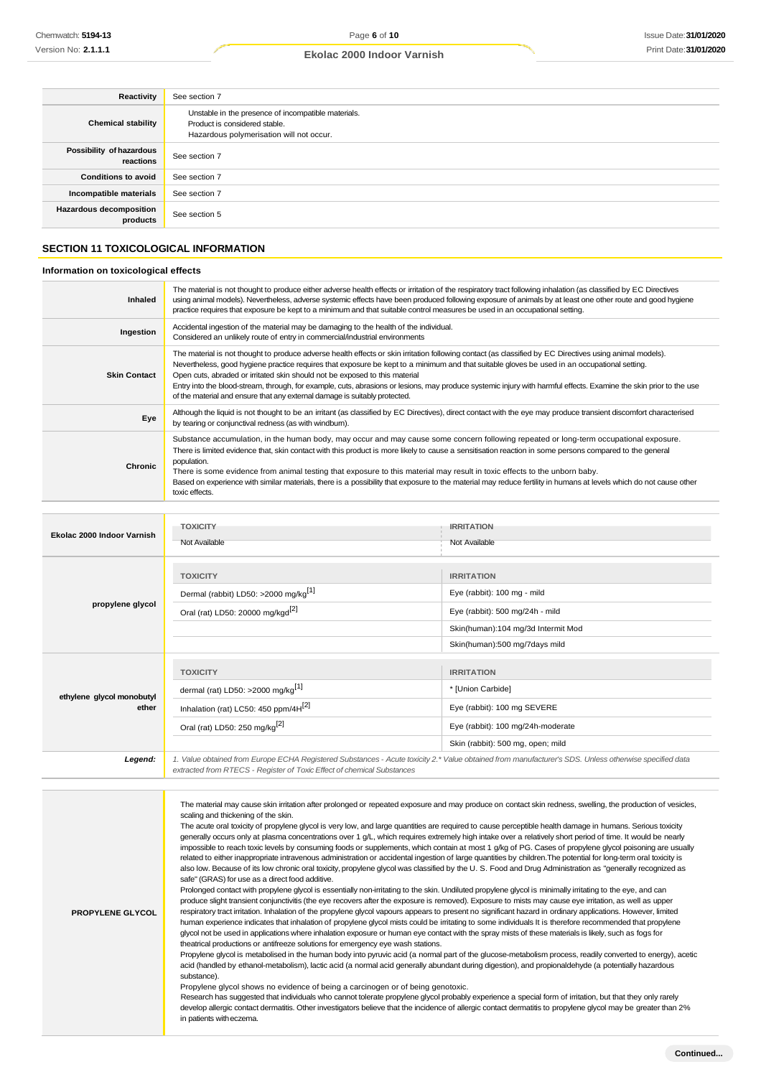| Reactivity                                 | See section 7                                                                                                                    |
|--------------------------------------------|----------------------------------------------------------------------------------------------------------------------------------|
| <b>Chemical stability</b>                  | Unstable in the presence of incompatible materials.<br>Product is considered stable.<br>Hazardous polymerisation will not occur. |
| Possibility of hazardous<br>reactions      | See section 7                                                                                                                    |
| <b>Conditions to avoid</b>                 | See section 7                                                                                                                    |
| Incompatible materials                     | See section 7                                                                                                                    |
| <b>Hazardous decomposition</b><br>products | See section 5                                                                                                                    |

# **SECTION 11 TOXICOLOGICAL INFORMATION**

# **Information on toxicological effects**

| Inhaled             | The material is not thought to produce either adverse health effects or irritation of the respiratory tract following inhalation (as classified by EC Directives<br>using animal models). Nevertheless, adverse systemic effects have been produced following exposure of animals by at least one other route and good hygiene<br>practice requires that exposure be kept to a minimum and that suitable control measures be used in an occupational setting.                                                                                                                                                                               |
|---------------------|---------------------------------------------------------------------------------------------------------------------------------------------------------------------------------------------------------------------------------------------------------------------------------------------------------------------------------------------------------------------------------------------------------------------------------------------------------------------------------------------------------------------------------------------------------------------------------------------------------------------------------------------|
| Ingestion           | Accidental ingestion of the material may be damaging to the health of the individual.<br>Considered an unlikely route of entry in commercial/industrial environments                                                                                                                                                                                                                                                                                                                                                                                                                                                                        |
| <b>Skin Contact</b> | The material is not thought to produce adverse health effects or skin irritation following contact (as classified by EC Directives using animal models).<br>Nevertheless, good hygiene practice requires that exposure be kept to a minimum and that suitable gloves be used in an occupational setting.<br>Open cuts, abraded or irritated skin should not be exposed to this material<br>Entry into the blood-stream, through, for example, cuts, abrasions or lesions, may produce systemic injury with harmful effects. Examine the skin prior to the use<br>of the material and ensure that any external damage is suitably protected. |
| Eye                 | Although the liquid is not thought to be an irritant (as classified by EC Directives), direct contact with the eye may produce transient discomfort characterised<br>by tearing or conjunctival redness (as with windburn).                                                                                                                                                                                                                                                                                                                                                                                                                 |
| <b>Chronic</b>      | Substance accumulation, in the human body, may occur and may cause some concern following repeated or long-term occupational exposure.<br>There is limited evidence that, skin contact with this product is more likely to cause a sensitisation reaction in some persons compared to the general<br>population.<br>There is some evidence from animal testing that exposure to this material may result in toxic effects to the unborn baby.<br>Based on experience with similar materials, there is a possibility that exposure to the material may reduce fertility in humans at levels which do not cause other<br>toxic effects.       |

| Ekolac 2000 Indoor Varnish         | <b>TOXICITY</b><br>Not Available                                                                                                                                                                                                | <b>IRRITATION</b><br>Not Available                                                                                                                         |  |
|------------------------------------|---------------------------------------------------------------------------------------------------------------------------------------------------------------------------------------------------------------------------------|------------------------------------------------------------------------------------------------------------------------------------------------------------|--|
| propylene glycol                   | <b>TOXICITY</b><br>Dermal (rabbit) LD50: >2000 mg/kg <sup>[1]</sup><br>Oral (rat) LD50: 20000 mg/kgd <sup>[2]</sup>                                                                                                             | <b>IRRITATION</b><br>Eye (rabbit): 100 mg - mild<br>Eye (rabbit): 500 mg/24h - mild<br>Skin(human):104 mg/3d Intermit Mod<br>Skin(human):500 mg/7days mild |  |
| ethylene glycol monobutyl<br>ether | <b>TOXICITY</b><br>dermal (rat) LD50: >2000 mg/kg <sup>[1]</sup><br>Inhalation (rat) LC50: 450 ppm/4H <sup>[2]</sup><br>Oral (rat) LD50: 250 mg/kg <sup>[2]</sup>                                                               | <b>IRRITATION</b><br>* [Union Carbide]<br>Eye (rabbit): 100 mg SEVERE<br>Eye (rabbit): 100 mg/24h-moderate<br>Skin (rabbit): 500 mg, open; mild            |  |
| Legend:                            | 1. Value obtained from Europe ECHA Registered Substances - Acute toxicity 2.* Value obtained from manufacturer's SDS. Unless otherwise specified data<br>extracted from RTECS - Register of Toxic Effect of chemical Substances |                                                                                                                                                            |  |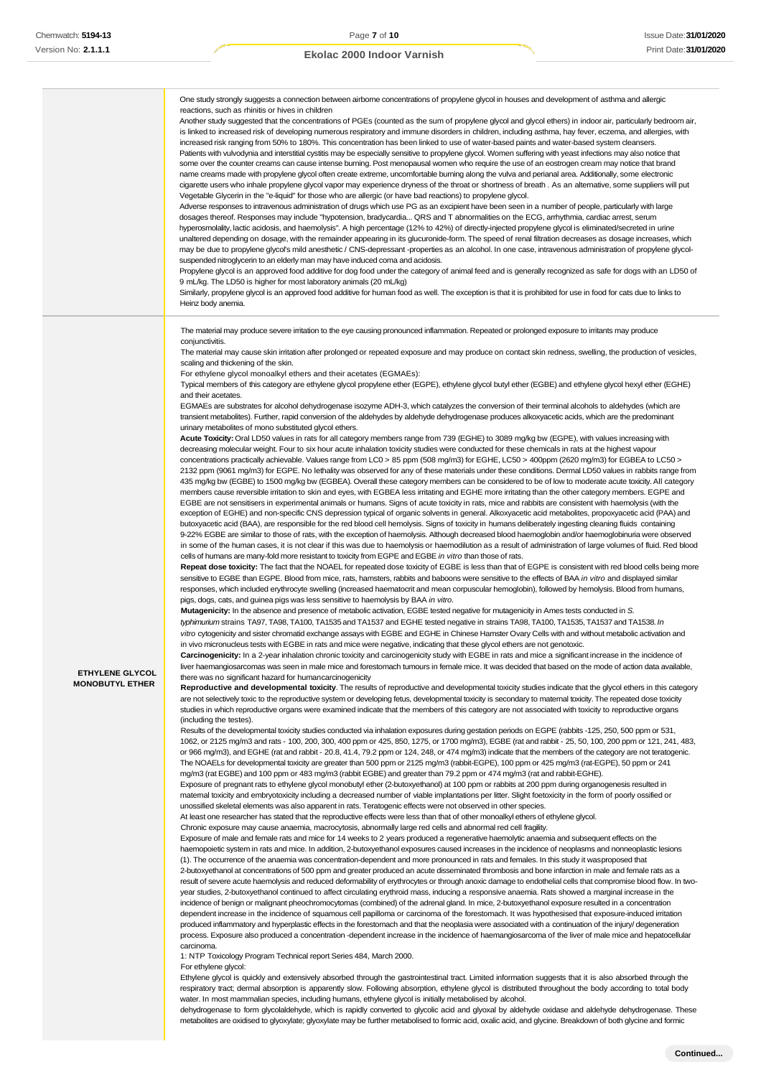|                                                  | One study strongly suggests a connection between airborne concentrations of propylene glycol in houses and development of asthma and allergic<br>reactions, such as rhinitis or hives in children<br>Another study suggested that the concentrations of PGEs (counted as the sum of propylene glycol and glycol ethers) in indoor air, particularly bedroom air,<br>is linked to increased risk of developing numerous respiratory and immune disorders in children, including asthma, hay fever, eczema, and allergies, with<br>increased risk ranging from 50% to 180%. This concentration has been linked to use of water-based paints and water-based system cleansers.<br>Patients with vulvodynia and interstitial cystitis may be especially sensitive to propylene glycol. Women suffering with yeast infections may also notice that<br>some over the counter creams can cause intense burning. Post menopausal women who require the use of an eostrogen cream may notice that brand<br>name creams made with propylene glycol often create extreme, uncomfortable burning along the vulva and perianal area. Additionally, some electronic<br>cigarette users who inhale propylene glycol vapor may experience dryness of the throat or shortness of breath. As an alternative, some suppliers will put<br>Vegetable Glycerin in the "e-liquid" for those who are allergic (or have bad reactions) to propylene glycol.<br>Adverse responses to intravenous administration of drugs which use PG as an excipient have been seen in a number of people, particularly with large<br>dosages thereof. Responses may include "hypotension, bradycardia QRS and T abnormalities on the ECG, arrhythmia, cardiac arrest, serum<br>hyperosmolality, lactic acidosis, and haemolysis". A high percentage (12% to 42%) of directly-injected propylene glycol is eliminated/secreted in urine<br>unaltered depending on dosage, with the remainder appearing in its glucuronide-form. The speed of renal filtration decreases as dosage increases, which<br>may be due to propylene glycol's mild anesthetic / CNS-depressant -properties as an alcohol. In one case, intravenous administration of propylene glycol-<br>suspended nitroglycerin to an elderly man may have induced coma and acidosis.<br>Propylene glycol is an approved food additive for dog food under the category of animal feed and is generally recognized as safe for dogs with an LD50 of<br>9 mL/kg. The LD50 is higher for most laboratory animals (20 mL/kg)                                                                                                                                                                                                                                                                                                                                                                                                                                                                                                                                                                                                                                                                                                                                                                                                                                                                                                                                                                                                                                                                                                                                                                                                                                                                                                                                                                                                                                                                                                                                                                                                                                                                                                                                                                                                                                                                                                                                                                                                                                                                                                                                                                                                                                                                                                                                                                                                                                                                                                                                                                                                                                                                                                                                                                                                                                                                                                                                                                                                                                                                                                                                                                                                                                                                                                                                                                                                                                                                                                                                                                                                                                                                                                                                                                                                                                                                                                                                                                                                                                                                                                                                                                                                                                                                                                                                                                                                                                                                                                                                                                                                                                                                                                                                                                                                                                                                                                                                                                                                                                                                                                                                                                                                                                                                                                                                                                                                                                                                                                                                                                                                                                                                                                                                                                                                                |
|--------------------------------------------------|-----------------------------------------------------------------------------------------------------------------------------------------------------------------------------------------------------------------------------------------------------------------------------------------------------------------------------------------------------------------------------------------------------------------------------------------------------------------------------------------------------------------------------------------------------------------------------------------------------------------------------------------------------------------------------------------------------------------------------------------------------------------------------------------------------------------------------------------------------------------------------------------------------------------------------------------------------------------------------------------------------------------------------------------------------------------------------------------------------------------------------------------------------------------------------------------------------------------------------------------------------------------------------------------------------------------------------------------------------------------------------------------------------------------------------------------------------------------------------------------------------------------------------------------------------------------------------------------------------------------------------------------------------------------------------------------------------------------------------------------------------------------------------------------------------------------------------------------------------------------------------------------------------------------------------------------------------------------------------------------------------------------------------------------------------------------------------------------------------------------------------------------------------------------------------------------------------------------------------------------------------------------------------------------------------------------------------------------------------------------------------------------------------------------------------------------------------------------------------------------------------------------------------------------------------------------------------------------------------------------------------------------------------------------------------------------------------------------------------------------------------------------------------------------------------------------------------------------------------------------------------------------------------------------------------------------------------------------------------------------------------------------------------------------------------------------------------------------------------------------------------------------------------------------------------------------------------------------------------------------------------------------------------------------------------------------------------------------------------------------------------------------------------------------------------------------------------------------------------------------------------------------------------------------------------------------------------------------------------------------------------------------------------------------------------------------------------------------------------------------------------------------------------------------------------------------------------------------------------------------------------------------------------------------------------------------------------------------------------------------------------------------------------------------------------------------------------------------------------------------------------------------------------------------------------------------------------------------------------------------------------------------------------------------------------------------------------------------------------------------------------------------------------------------------------------------------------------------------------------------------------------------------------------------------------------------------------------------------------------------------------------------------------------------------------------------------------------------------------------------------------------------------------------------------------------------------------------------------------------------------------------------------------------------------------------------------------------------------------------------------------------------------------------------------------------------------------------------------------------------------------------------------------------------------------------------------------------------------------------------------------------------------------------------------------------------------------------------------------------------------------------------------------------------------------------------------------------------------------------------------------------------------------------------------------------------------------------------------------------------------------------------------------------------------------------------------------------------------------------------------------------------------------------------------------------------------------------------------------------------------------------------------------------------------------------------------------------------------------------------------------------------------------------------------------------------------------------------------------------------------------------------------------------------------------------------------------------------------------------------------------------------------------------------------------------------------------------------------------------------------------------------------------------------------------------------------------------------------------------------------------------------------------------------------------------------------------------------------------------------------------------------------------------------------------------------------------------------------------------------------------------------------------------------------------------------------------------------------------------------------------------------------------------------------------------------------------------------------------------------------------------------------------------------------------------------------------------------------------------------------------------------------------------------------------------------------------------------------------------------------------------------------------------------------------------------------------------------------------------------------------------------------------------------------------------------------------------------------------------------------------------------------------------------------------------------------------------------------------------------------------------------------------------------------------------------------------------------------------------------------------------------------------------------------------------------------------------------------------------------------------------------------------------------------------------------------------------------------------------------------------------------------------------------------------------------------------------------------------------------------------------------------------------------------------------------------------------------------------------------------------------------------------------------------------------------------------------------------------------|
|                                                  | Similarly, propylene glycol is an approved food additive for human food as well. The exception is that it is prohibited for use in food for cats due to links to<br>Heinz body anemia.                                                                                                                                                                                                                                                                                                                                                                                                                                                                                                                                                                                                                                                                                                                                                                                                                                                                                                                                                                                                                                                                                                                                                                                                                                                                                                                                                                                                                                                                                                                                                                                                                                                                                                                                                                                                                                                                                                                                                                                                                                                                                                                                                                                                                                                                                                                                                                                                                                                                                                                                                                                                                                                                                                                                                                                                                                                                                                                                                                                                                                                                                                                                                                                                                                                                                                                                                                                                                                                                                                                                                                                                                                                                                                                                                                                                                                                                                                                                                                                                                                                                                                                                                                                                                                                                                                                                                                                                                                                                                                                                                                                                                                                                                                                                                                                                                                                                                                                                                                                                                                                                                                                                                                                                                                                                                                                                                                                                                                                                                                                                                                                                                                                                                                                                                                                                                                                                                                                                                                                                                                                                                                                                                                                                                                                                                                                                                                                                                                                                                                                                                                                                                                                                                                                                                                                                                                                                                                                                                                                                                                                                                                                                                                                                                                                                                                                                                                                                                                                                                                                                                                                                                                                                                                                                                                                                                                                                                                                                                                                                                                                                                                                                                                    |
| <b>ETHYLENE GLYCOL</b><br><b>MONOBUTYL ETHER</b> | The material may produce severe irritation to the eye causing pronounced inflammation. Repeated or prolonged exposure to irritants may produce<br>conjunctivitis.<br>The material may cause skin irritation after prolonged or repeated exposure and may produce on contact skin redness, swelling, the production of vesicles,<br>scaling and thickening of the skin.<br>For ethylene glycol monoalkyl ethers and their acetates (EGMAEs):<br>Typical members of this category are ethylene glycol propylene ether (EGPE), ethylene glycol butyl ether (EGBE) and ethylene glycol hexyl ether (EGHE)<br>and their acetates.<br>EGMAEs are substrates for alcohol dehydrogenase isozyme ADH-3, which catalyzes the conversion of their terminal alcohols to aldehydes (which are<br>transient metabolites). Further, rapid conversion of the aldehydes by aldehyde dehydrogenase produces alkoxyacetic acids, which are the predominant<br>urinary metabolites of mono substituted glycol ethers.<br>Acute Toxicity: Oral LD50 values in rats for all category members range from 739 (EGHE) to 3089 mg/kg bw (EGPE), with values increasing with<br>decreasing molecular weight. Four to six hour acute inhalation toxicity studies were conducted for these chemicals in rats at the highest vapour<br>concentrations practically achievable. Values range from LC0 > 85 ppm (508 mg/m3) for EGHE, LC50 > 400ppm (2620 mg/m3) for EGBEA to LC50 ><br>2132 ppm (9061 mg/m3) for EGPE. No lethality was observed for any of these materials under these conditions. Dermal LD50 values in rabbits range from<br>435 mg/kg bw (EGBE) to 1500 mg/kg bw (EGBEA). Overall these category members can be considered to be of low to moderate acute toxicity. All category<br>members cause reversible irritation to skin and eyes, with EGBEA less irritating and EGHE more irritating than the other category members. EGPE and<br>EGBE are not sensitisers in experimental animals or humans. Signs of acute toxicity in rats, mice and rabbits are consistent with haemolysis (with the<br>exception of EGHE) and non-specific CNS depression typical of organic solvents in general. Alkoxyacetic acid metabolites, propoxyacetic acid (PAA) and<br>butoxyacetic acid (BAA), are responsible for the red blood cell hemolysis. Signs of toxicity in humans deliberately ingesting cleaning fluids containing<br>9-22% EGBE are similar to those of rats, with the exception of haemolysis. Although decreased blood haemoglobin and/or haemoglobinuria were observed<br>in some of the human cases, it is not clear if this was due to haemolysis or haemodilution as a result of administration of large volumes of fluid. Red blood<br>cells of humans are many-fold more resistant to toxicity from EGPE and EGBE in vitro than those of rats.<br>Repeat dose toxicity: The fact that the NOAEL for repeated dose toxicity of EGBE is less than that of EGPE is consistent with red blood cells being more<br>sensitive to EGBE than EGPE. Blood from mice, rats, hamsters, rabbits and baboons were sensitive to the effects of BAA in vitro and displayed similar<br>responses, which included erythrocyte swelling (increased haematocrit and mean corpuscular hemoglobin), followed by hemolysis. Blood from humans,<br>pigs, dogs, cats, and guinea pigs was less sensitive to haemolysis by BAA in vitro.<br>Mutagenicity: In the absence and presence of metabolic activation, EGBE tested negative for mutagenicity in Ames tests conducted in S.<br>typhimurium strains TA97, TA98, TA100, TA1535 and TA1537 and EGHE tested negative in strains TA98, TA100, TA1535, TA1537 and TA1538. In<br>vitro cytogenicity and sister chromatid exchange assays with EGBE and EGHE in Chinese Hamster Ovary Cells with and without metabolic activation and<br>in vivo micronucleus tests with EGBE in rats and mice were negative, indicating that these glycol ethers are not genotoxic.<br>Carcinogenicity: In a 2-year inhalation chronic toxicity and carcinogenicity study with EGBE in rats and mice a significant increase in the incidence of<br>liver haemangiosarcomas was seen in male mice and forestomach tumours in female mice. It was decided that based on the mode of action data available<br>there was no significant hazard for humancarcinogenicity<br>Reproductive and developmental toxicity. The results of reproductive and developmental toxicity studies indicate that the glycol ethers in this category<br>are not selectively toxic to the reproductive system or developing fetus, developmental toxicity is secondary to maternal toxicity. The repeated dose toxicity<br>studies in which reproductive organs were examined indicate that the members of this category are not associated with toxicity to reproductive organs<br>(including the testes).<br>Results of the developmental toxicity studies conducted via inhalation exposures during gestation periods on EGPE (rabbits -125, 250, 500 ppm or 531,<br>1062, or 2125 mg/m3 and rats - 100, 200, 300, 400 ppm or 425, 850, 1275, or 1700 mg/m3), EGBE (rat and rabbit - 25, 50, 100, 200 ppm or 121, 241, 483,<br>or 966 mg/m3), and EGHE (rat and rabbit - 20.8, 41.4, 79.2 ppm or 124, 248, or 474 mg/m3) indicate that the members of the category are not teratogenic.<br>The NOAELs for developmental toxicity are greater than 500 ppm or 2125 mg/m3 (rabbit-EGPE), 100 ppm or 425 mg/m3 (rat-EGPE), 50 ppm or 241<br>mg/m3 (rat EGBE) and 100 ppm or 483 mg/m3 (rabbit EGBE) and greater than 79.2 ppm or 474 mg/m3 (rat and rabbit-EGHE).<br>Exposure of pregnant rats to ethylene glycol monobutyl ether (2-butoxyethanol) at 100 ppm or rabbits at 200 ppm during organogenesis resulted in<br>maternal toxicity and embryotoxicity including a decreased number of viable implantations per litter. Slight foetoxicity in the form of poorly ossified or<br>unossified skeletal elements was also apparent in rats. Teratogenic effects were not observed in other species.<br>At least one researcher has stated that the reproductive effects were less than that of other monoalkyl ethers of ethylene glycol.<br>Chronic exposure may cause anaemia, macrocytosis, abnormally large red cells and abnormal red cell fragility.<br>Exposure of male and female rats and mice for 14 weeks to 2 years produced a regenerative haemolytic anaemia and subsequent effects on the<br>haemopoietic system in rats and mice. In addition, 2-butoxyethanol exposures caused increases in the incidence of neoplasms and nonneoplastic lesions<br>(1). The occurrence of the anaemia was concentration-dependent and more pronounced in rats and females. In this study it wasproposed that<br>2-butoxyethanol at concentrations of 500 ppm and greater produced an acute disseminated thrombosis and bone infarction in male and female rats as a<br>result of severe acute haemolysis and reduced deformability of erythrocytes or through anoxic damage to endothelial cells that compromise blood flow. In two-<br>year studies, 2-butoxyethanol continued to affect circulating erythroid mass, inducing a responsive anaemia. Rats showed a marginal increase in the<br>incidence of benign or malignant pheochromocytomas (combined) of the adrenal gland. In mice, 2-butoxyethanol exposure resulted in a concentration<br>dependent increase in the incidence of squamous cell papilloma or carcinoma of the forestomach. It was hypothesised that exposure-induced irritation<br>produced inflammatory and hyperplastic effects in the forestomach and that the neoplasia were associated with a continuation of the injury/degeneration<br>process. Exposure also produced a concentration -dependent increase in the incidence of haemangiosarcoma of the liver of male mice and hepatocellular<br>carcinoma.<br>1: NTP Toxicology Program Technical report Series 484, March 2000.<br>For ethylene glycol:<br>Ethylene glycol is quickly and extensively absorbed through the gastrointestinal tract. Limited information suggests that it is also absorbed through the<br>repiratory tract: dermal absorption is apparently slow. Following absorption, othylone glycol is distributed throughout the body according to total body |

respiratory tract; dermal absorption is apparently slow. Following absorption, ethylene glycol is distributed throughout the body according to total body water. In most mammalian species, including humans, ethylene glycol is initially metabolised by alcohol. dehydrogenase to form glycolaldehyde, which is rapidly converted to glycolic acid and glyoxal by aldehyde oxidase and aldehyde dehydrogenase. These

metabolites are oxidised to glyoxylate; glyoxylate may be further metabolised to formic acid, oxalic acid, and glycine. Breakdown of both glycine and formic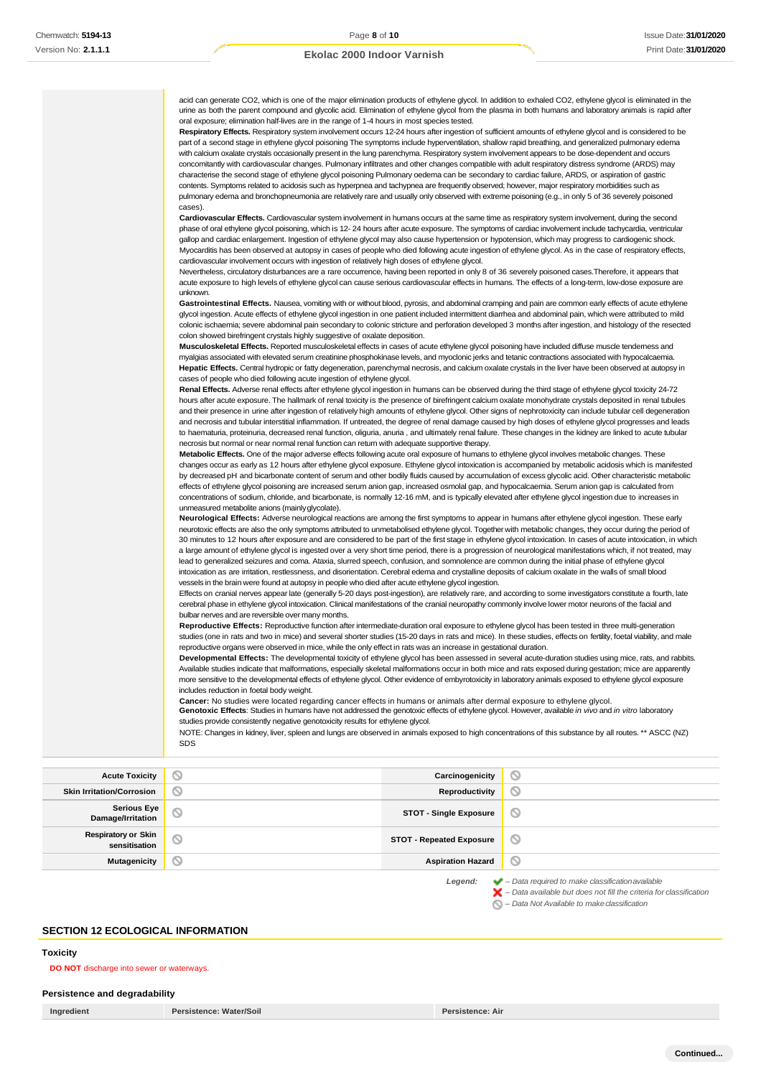acid can generate CO2, which is one of the major elimination products of ethylene glycol. In addition to exhaled CO2, ethylene glycol is eliminated in the urine as both the parent compound and glycolic acid. Elimination of ethylene glycol from the plasma in both humans and laboratory animals is rapid after oral exposure; elimination half-lives are in the range of 1-4 hours in most species tested. **Respiratory Effects.** Respiratory system involvement occurs 12-24 hours after ingestion of sufficient amounts of ethylene glycol and is considered to be part of a second stage in ethylene glycol poisoning The symptoms include hyperventilation, shallow rapid breathing, and generalized pulmonary edema with calcium oxalate crystals occasionally present in the lung parenchyma. Respiratory system involvement appears to be dose-dependent and occurs concomitantly with cardiovascular changes. Pulmonary infiltrates and other changes compatible with adult respiratory distress syndrome (ARDS) may characterise the second stage of ethylene glycol poisoning Pulmonary oedema can be secondary to cardiac failure, ARDS, or aspiration of gastric contents. Symptoms related to acidosis such as hyperpnea and tachypnea are frequently observed; however, major respiratory morbidities such as pulmonary edema and bronchopneumonia are relatively rare and usually only observed with extreme poisoning (e.g., in only 5 of 36 severely poisoned cases). **Cardiovascular Effects.** Cardiovascular system involvement in humans occurs at the same time as respiratory system involvement, during the second phase of oral ethylene glycol poisoning, which is 12- 24 hours after acute exposure. The symptoms of cardiac involvement include tachycardia, ventricular gallop and cardiac enlargement. Ingestion of ethylene glycol may also cause hypertension or hypotension, which may progress to cardiogenic shock. Myocarditis has been observed at autopsy in cases of people who died following acute ingestion of ethylene glycol. As in the case of respiratory effects, cardiovascular involvement occurs with ingestion of relatively high doses of ethylene glycol. Nevertheless, circulatory disturbances are a rare occurrence, having been reported in only 8 of 36 severely poisoned cases.Therefore, it appears that acute exposure to high levels of ethylene glycol can cause serious cardiovascular effects in humans. The effects of a long-term, low-dose exposure are unknown. Gastrointestinal Effects. Nausea, vomiting with or without blood, pyrosis, and abdominal cramping and pain are common early effects of acute ethylene glycol ingestion. Acute effects of ethylene glycol ingestion in one patient included intermittent diarrhea and abdominal pain, which were attributed to mild colonic ischaemia; severe abdominal pain secondary to colonic stricture and perforation developed 3 months after ingestion, and histology of the resected colon showed birefringent crystals highly suggestive of oxalate deposition. **Musculoskeletal Effects.** Reported musculoskeletal effects in cases of acute ethylene glycol poisoning have included diffuse muscle tenderness and myalgias associated with elevated serum creatinine phosphokinase levels, and myoclonic jerks and tetanic contractions associated with hypocalcaemia. **Hepatic Effects.** Central hydropic or fatty degeneration, parenchymal necrosis, and calcium oxalate crystals in the liver have been observed at autopsy in cases of people who died following acute ingestion of ethylene glycol. **Renal Effects.** Adverse renal effects after ethylene glycol ingestion in humans can be observed during the third stage of ethylene glycol toxicity 24-72 hours after acute exposure. The hallmark of renal toxicity is the presence of birefringent calcium oxalate monohydrate crystals deposited in renal tubules and their presence in urine after ingestion of relatively high amounts of ethylene glycol. Other signs of nephrotoxicity can include tubular cell degeneration and necrosis and tubular interstitial inflammation. If untreated, the degree of renal damage caused by high doses of ethylene glycol progresses and leads to haematuria, proteinuria, decreased renal function, oliguria, anuria , and ultimately renal failure. These changes in the kidney are linked to acute tubular necrosis but normal or near normal renal function can return with adequate supportive therapy. **Metabolic Effects.** One of the major adverse effects following acute oral exposure of humans to ethylene glycol involves metabolic changes. These changes occur as early as 12 hours after ethylene glycol exposure. Ethylene glycol intoxication is accompanied by metabolic acidosis which is manifested by decreased pH and bicarbonate content of serum and other bodily fluids caused by accumulation of excess glycolic acid. Other characteristic metabolic effects of ethylene glycol poisoning are increased serum anion gap, increased osmolal gap, and hypocalcaemia. Serum anion gap is calculated from concentrations of sodium, chloride, and bicarbonate, is normally 12-16 mM, and is typically elevated after ethylene glycol ingestion due to increases in unmeasured metabolite anions (mainlyglycolate). **Neurological Effects:** Adverse neurological reactions are among the first symptoms to appear in humans after ethylene glycol ingestion. These early neurotoxic effects are also the only symptoms attributed to unmetabolised ethylene glycol. Together with metabolic changes, they occur during the period of 30 minutes to 12 hours after exposure and are considered to be part of the first stage in ethylene glycol intoxication. In cases of acute intoxication, in which a large amount of ethylene glycol is ingested over a very short time period, there is a progression of neurological manifestations which, if not treated, may lead to generalized seizures and coma. Ataxia, slurred speech, confusion, and somnolence are common during the initial phase of ethylene glycol intoxication as are irritation, restlessness, and disorientation. Cerebral edema and crystalline deposits of calcium oxalate in the walls of small blood vessels in the brain were found at autopsy in people who died after acute ethylene glycol ingestion. Effects on cranial nerves appear late (generally 5-20 days post-ingestion), are relatively rare, and according to some investigators constitute a fourth, late cerebral phase in ethylene glycol intoxication. Clinical manifestations of the cranial neuropathy commonly involve lower motor neurons of the facial and bulbar nerves and are reversible over many months. **Reproductive Effects:** Reproductive function after intermediate-duration oral exposure to ethylene glycol has been tested in three multi-generation studies (one in rats and two in mice) and several shorter studies (15-20 days in rats and mice). In these studies, effects on fertility, foetal viability, and male reproductive organs were observed in mice, while the only effect in rats was an increase in gestational duration. **Developmental Effects:** The developmental toxicity of ethylene glycol has been assessed in several acute-duration studies using mice, rats, and rabbits. Available studies indicate that malformations, especially skeletal malformations occur in both mice and rats exposed during gestation; mice are apparently more sensitive to the developmental effects of ethylene glycol. Other evidence of embyrotoxicity in laboratory animals exposed to ethylene glycol exposure includes reduction in foetal body weight. **Cancer:** No studies were located regarding cancer effects in humans or animals after dermal exposure to ethylene glycol. **Genotoxic Effects**: Studies in humans have not addressed the genotoxic effects of ethylene glycol. However, available *in vivo* and *in vitro* laboratory studies provide consistently negative genotoxicity results for ethylene glycol.

NOTE: Changes in kidney, liver, spleen and lungs are observed in animals exposed to high concentrations of this substance by all routes. \*\* ASCC (NZ) SDS

**Acute Toxicity Carcinogenicity Carcinogenicity**  $\circ$ **Skin Irritation/Corrosion Reproductivity**  $\varnothing$ **Serious Eye Damage/Irritation STOT - Single Exposure**  $\circ$ **Respiratory or Skin sensitisation STOT - Repeated Exposure** ல **Mutagenicity Aspiration Hazard**  $\circ$ *Legend: – Data required to make classificationavailable*

> *– Data available but does not fill the criteria for classification* ×

*– Data Not Available to makeclassification*

#### **SECTION 12 ECOLOGICAL INFORMATION**

#### <span id="page-7-0"></span>**Toxicity**

**DO NOT** discharge into sewer or waterways.

#### **Persistence and degradability**

**Ingredient Persistence: Water/Soil Persistence: Air**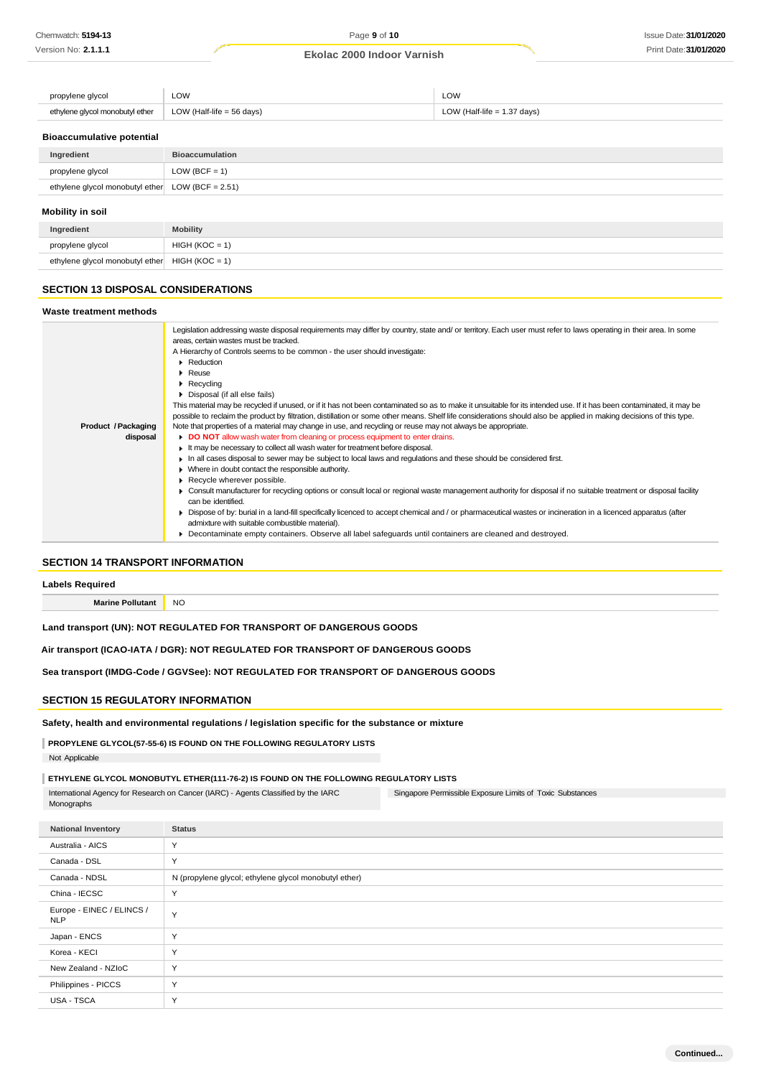| propylene glycol                | LOW                         | LOW                           |
|---------------------------------|-----------------------------|-------------------------------|
| ethylene alvcol monobutyl ether | LOW (Half-life = $56$ days) | LOW (Half-life $= 1.37$ days) |

#### **Bioaccumulative potential**

| Ingredient                                          | <b>Bioaccumulation</b> |  |  |  |
|-----------------------------------------------------|------------------------|--|--|--|
| propylene glycol                                    | LOW (BCF = $1$ )       |  |  |  |
| ethylene glycol monobutyl ether LOW (BCF = $2.51$ ) |                        |  |  |  |
| Mobility in soil                                    |                        |  |  |  |
| Ingredient                                          | <b>Mobility</b>        |  |  |  |

# ethylene glycol monobutyl ether  $HIGH (KOC = 1)$

#### **SECTION 13 DISPOSAL CONSIDERATIONS**

propylene glycol HIGH (KOC = 1)

#### **Waste treatment methods Product /Packaging disposal** Legislation addressing waste disposal requirements may differ by country, state and/ or territory. Each user must refer to laws operating in their area. In some areas, certain wastes must be tracked. A Hierarchy of Controls seems to be common - the user should investigate: **Reduction** Reuse **Recycling** Disposal (if all else fails) This material may be recycled if unused, or if it has not been contaminated so as to make it unsuitable for its intended use. If it has been contaminated, it may be possible to reclaim the product by filtration, distillation or some other means. Shelf life considerations should also be applied in making decisions of this type. Note that properties of a material may change in use, and recycling or reuse may not always be appropriate. **DO NOT** allow wash water from cleaning or process equipment to enter drains. It may be necessary to collect all wash water for treatment before disposal. In all cases disposal to sewer may be subject to local laws and regulations and these should be considered first. Where in doubt contact the responsible authority. Recycle wherever possible. Consult manufacturer for recycling options or consult local or regional waste management authority for disposal if no suitable treatment or disposal facility can be identified. Dispose of by: burial in a land-fill specifically licenced to accept chemical and / or pharmaceutical wastes or incineration in a licenced apparatus (after admixture with suitable combustible material). Decontaminate empty containers. Observe all label safeguards until containers are cleaned and destroyed.

#### **SECTION 14 TRANSPORT INFORMATION**

**Labels Required**

**Marine Pollutant** NO

#### **Land transport (UN): NOT REGULATED FOR TRANSPORT OF DANGEROUS GOODS**

**Air transport (ICAO-IATA / DGR): NOT REGULATED FOR TRANSPORT OF DANGEROUS GOODS**

**Sea transport (IMDG-Code / GGVSee): NOT REGULATED FOR TRANSPORT OF DANGEROUS GOODS**

### **SECTION 15 REGULATORY INFORMATION**

**Safety, health and environmental regulations / legislation specific for the substance or mixture**

#### **PROPYLENE GLYCOL(57-55-6) IS FOUND ON THE FOLLOWING REGULATORY LISTS**

Not Applicable

#### **ETHYLENE GLYCOL MONOBUTYL ETHER(111-76-2) IS FOUND ON THE FOLLOWING REGULATORY LISTS**

Singapore Permissible Exposure Limits of Toxic Substances International Agency for Research on Cancer (IARC) - Agents Classified by the IARC Monographs

**National Inventory Status** Australia - AICS Y Canada - DSL Y Canada - NDSL N (propylene glycol; ethylene glycol monobutyl ether) China - IECSC Y Europe - EINEC / ELINCS / Y<br>NLP Japan - ENCS Y Korea - KECI Y New Zealand - NZIoC Y Philippines - PICCS Y USA - TSCA Y